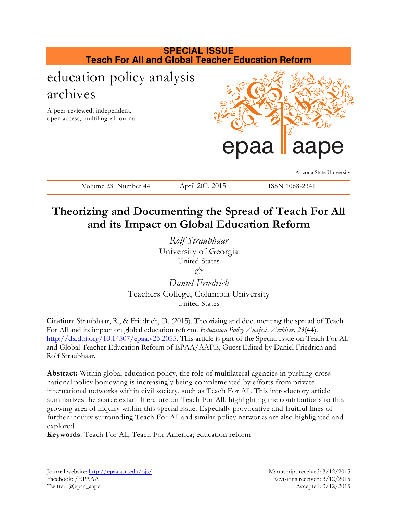

# **Theorizing and Documenting the Spread of Teach For All and its Impact on Global Education Reform**

*Rolf Straubhaar* University of Georgia United States *&*

*Daniel Friedrich* Teachers College, Columbia University United States

**Citation**: Straubhaar, R., & Friedrich, D. (2015). Theorizing and documenting the spread of Teach For All and its impact on global education reform. *Education Policy Analysis Archives, 23*(44). http://dx.doi.org/10.14507/epaa.v23.2055. This article is part of the Special Issue on Teach For All and Global Teacher Education Reform of EPAA/AAPE, Guest Edited by Daniel Friedrich and Rolf Straubhaar.

**Abstract:** Within global education policy, the role of multilateral agencies in pushing crossnational policy borrowing is increasingly being complemented by efforts from private international networks within civil society, such as Teach For All. This introductory article summarizes the scarce extant literature on Teach For All, highlighting the contributions to this growing area of inquiry within this special issue. Especially provocative and fruitful lines of further inquiry surrounding Teach For All and similar policy networks are also highlighted and explored.

**Keywords**: Teach For All; Teach For America; education reform

Journal website: http://epaa.asu.edu/ojs/ Manuscript received: 3/12/2015 Facebook: /EPAAA Revisions received: 3/12/2015 Twitter: @epaa\_aape Accepted: 3/12/2015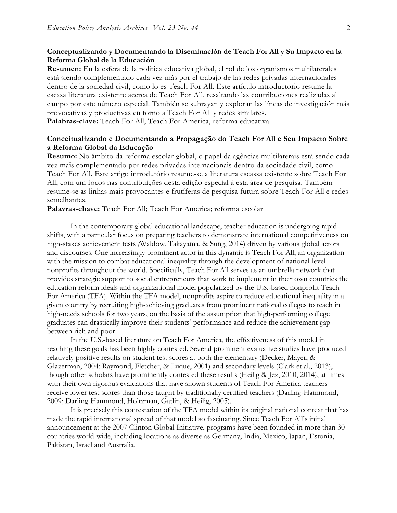## **Conceptualizando y Documentando la Diseminación de Teach For All y Su Impacto en la Reforma Global de la Educación**

**Resumen:** En la esfera de la política educativa global, el rol de los organismos multilaterales está siendo complementado cada vez más por el trabajo de las redes privadas internacionales dentro de la sociedad civil, como lo es Teach For All. Este artículo introductorio resume la escasa literatura existente acerca de Teach For All, resaltando las contribuciones realizadas al campo por este número especial. También se subrayan y exploran las líneas de investigación más provocativas y productivas en torno a Teach For All y redes similares. **Palabras-clave:** Teach For All, Teach For America, reforma educativa

## **Conceitualizando e Documentando a Propagação do Teach For All e Seu Impacto Sobre a Reforma Global da Educação**

**Resumo:** No âmbito da reforma escolar global, o papel da agências multilaterais está sendo cada vez mais complementado por redes privadas internacionais dentro da sociedade civil, como Teach For All. Este artigo introdutório resume-se a literatura escassa existente sobre Teach For All, com um focos nas contribuições desta edição especial à esta área de pesquisa. Também resume-se as linhas mais provocantes e frutíferas de pesquisa futura sobre Teach For All e redes semelhantes.

**Palavras-chave:** Teach For All; Teach For America; reforma escolar

In the contemporary global educational landscape, teacher education is undergoing rapid shifts, with a particular focus on preparing teachers to demonstrate international competitiveness on high-stakes achievement tests *(*Waldow, Takayama, & Sung, 2014) driven by various global actors and discourses. One increasingly prominent actor in this dynamic is Teach For All, an organization with the mission to combat educational inequality through the development of national-level nonprofits throughout the world. Specifically, Teach For All serves as an umbrella network that provides strategic support to social entrepreneurs that work to implement in their own countries the education reform ideals and organizational model popularized by the U.S.-based nonprofit Teach For America (TFA). Within the TFA model, nonprofits aspire to reduce educational inequality in a given country by recruiting high-achieving graduates from prominent national colleges to teach in high-needs schools for two years, on the basis of the assumption that high-performing college graduates can drastically improve their students' performance and reduce the achievement gap between rich and poor.

In the U.S.-based literature on Teach For America, the effectiveness of this model in reaching these goals has been highly contested. Several prominent evaluative studies have produced relatively positive results on student test scores at both the elementary (Decker, Mayer, & Glazerman, 2004; Raymond, Fletcher, & Luque, 2001) and secondary levels (Clark et al., 2013), though other scholars have prominently contested these results (Heilig & Jez, 2010, 2014), at times with their own rigorous evaluations that have shown students of Teach For America teachers receive lower test scores than those taught by traditionally certified teachers (Darling-Hammond, 2009; Darling-Hammond, Holtzman, Gatlin, & Heilig, 2005).

It is precisely this contestation of the TFA model within its original national context that has made the rapid international spread of that model so fascinating. Since Teach For All's initial announcement at the 2007 Clinton Global Initiative, programs have been founded in more than 30 countries world-wide, including locations as diverse as Germany, India, Mexico, Japan, Estonia, Pakistan, Israel and Australia.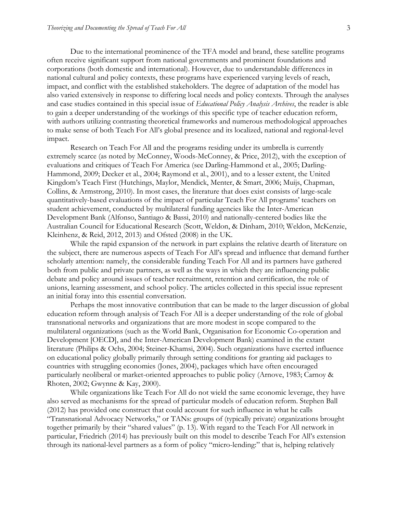Due to the international prominence of the TFA model and brand, these satellite programs often receive significant support from national governments and prominent foundations and corporations (both domestic and international). However, due to understandable differences in national cultural and policy contexts, these programs have experienced varying levels of reach, impact, and conflict with the established stakeholders. The degree of adaptation of the model has also varied extensively in response to differing local needs and policy contexts. Through the analyses and case studies contained in this special issue of *Educational Policy Analysis Archives*, the reader is able to gain a deeper understanding of the workings of this specific type of teacher education reform, with authors utilizing contrasting theoretical frameworks and numerous methodological approaches to make sense of both Teach For All's global presence and its localized, national and regional-level impact.

Research on Teach For All and the programs residing under its umbrella is currently extremely scarce (as noted by McConney, Woods-McConney, & Price, 2012), with the exception of evaluations and critiques of Teach For America (see Darling-Hammond et al., 2005; Darling-Hammond, 2009; Decker et al., 2004; Raymond et al., 2001), and to a lesser extent, the United Kingdom's Teach First (Hutchings, Maylor, Mendick, Menter, & Smart, 2006; Muijs, Chapman, Collins, & Armstrong, 2010). In most cases, the literature that does exist consists of large-scale quantitatively-based evaluations of the impact of particular Teach For All programs' teachers on student achievement, conducted by multilateral funding agencies like the Inter-American Development Bank (Alfonso, Santiago & Bassi, 2010) and nationally-centered bodies like the Australian Council for Educational Research (Scott, Weldon, & Dinham, 2010; Weldon, McKenzie, Kleinhenz, & Reid, 2012, 2013) and Ofsted (2008) in the UK.

While the rapid expansion of the network in part explains the relative dearth of literature on the subject, there are numerous aspects of Teach For All's spread and influence that demand further scholarly attention: namely, the considerable funding Teach For All and its partners have gathered both from public and private partners, as well as the ways in which they are influencing public debate and policy around issues of teacher recruitment, retention and certification, the role of unions, learning assessment, and school policy. The articles collected in this special issue represent an initial foray into this essential conversation.

Perhaps the most innovative contribution that can be made to the larger discussion of global education reform through analysis of Teach For All is a deeper understanding of the role of global transnational networks and organizations that are more modest in scope compared to the multilateral organizations (such as the World Bank, Organisation for Economic Co-operation and Development [OECD], and the Inter-American Development Bank) examined in the extant literature (Philips & Ochs, 2004; Steiner-Khamsi, 2004). Such organizations have exerted influence on educational policy globally primarily through setting conditions for granting aid packages to countries with struggling economies (Jones, 2004), packages which have often encouraged particularly neoliberal or market-oriented approaches to public policy (Arnove, 1983; Carnoy & Rhoten, 2002; Gwynne & Kay, 2000).

While organizations like Teach For All do not wield the same economic leverage, they have also served as mechanisms for the spread of particular models of education reform. Stephen Ball (2012) has provided one construct that could account for such influence in what he calls "Transnational Advocacy Networks," or TANs: groups of (typically private) organizations brought together primarily by their "shared values" (p. 13). With regard to the Teach For All network in particular, Friedrich (2014) has previously built on this model to describe Teach For All's extension through its national-level partners as a form of policy "micro-lending:" that is, helping relatively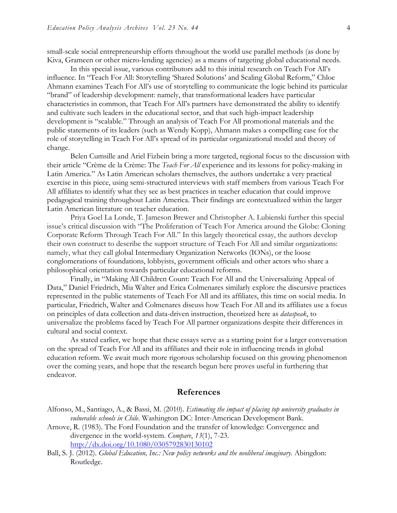small-scale social entrepreneurship efforts throughout the world use parallel methods (as done by Kiva, Grameen or other micro-lending agencies) as a means of targeting global educational needs.

In this special issue, various contributors add to this initial research on Teach For All's influence. In "Teach For All: Storytelling 'Shared Solutions' and Scaling Global Reform," Chloe Ahmann examines Teach For All's use of storytelling to communicate the logic behind its particular "brand" of leadership development: namely, that transformational leaders have particular characteristics in common, that Teach For All's partners have demonstrated the ability to identify and cultivate such leaders in the educational sector, and that such high-impact leadership development is "scalable." Through an analysis of Teach For All promotional materials and the public statements of its leaders (such as Wendy Kopp), Ahmann makes a compelling case for the role of storytelling in Teach For All's spread of its particular organizational model and theory of change.

Belen Cumsille and Ariel Fizbein bring a more targeted, regional focus to the discussion with their article "Crème de la Crème: The *Teach For All* experience and its lessons for policy-making in Latin America." As Latin American scholars themselves, the authors undertake a very practical exercise in this piece, using semi-structured interviews with staff members from various Teach For All affiliates to identify what they see as best practices in teacher education that could improve pedagogical training throughout Latin America. Their findings are contextualized within the larger Latin American literature on teacher education.

Priya Goel La Londe, T. Jameson Brewer and Christopher A. Lubienski further this special issue's critical discussion with "The Proliferation of Teach For America around the Globe: Cloning Corporate Reform Through Teach For All." In this largely theoretical essay, the authors develop their own construct to describe the support structure of Teach For All and similar organizations: namely, what they call global Intermediary Organization Networks (IONs), or the loose conglomerations of foundations, lobbyists, government officials and other actors who share a philosophical orientation towards particular educational reforms.

Finally, in "Making All Children Count: Teach For All and the Universalizing Appeal of Data," Daniel Friedrich, Mia Walter and Erica Colmenares similarly explore the discursive practices represented in the public statements of Teach For All and its affiliates, this time on social media. In particular, Friedrich, Walter and Colmenares discuss how Teach For All and its affiliates use a focus on principles of data collection and data-driven instruction, theorized here as *dataspeak*, to universalize the problems faced by Teach For All partner organizations despite their differences in cultural and social context.

As stated earlier, we hope that these essays serve as a starting point for a larger conversation on the spread of Teach For All and its affiliates and their role in influencing trends in global education reform. We await much more rigorous scholarship focused on this growing phenomenon over the coming years, and hope that the research begun here proves useful in furthering that endeavor.

### **References**

- Alfonso, M., Santiago, A., & Bassi, M. (2010). *Estimating the impact of placing top university graduates in vulnerable schools in Chile*. Washington DC: Inter-American Development Bank.
- Arnove, R. (1983). The Ford Foundation and the transfer of knowledge: Convergence and divergence in the world-system. *Compare*, *13*(1), 7-23. http://dx.doi.org/10.1080/0305792830130102
- Ball, S. J. (2012). *Global Education, Inc.: New policy networks and the neoliberal imaginary*. Abingdon: Routledge.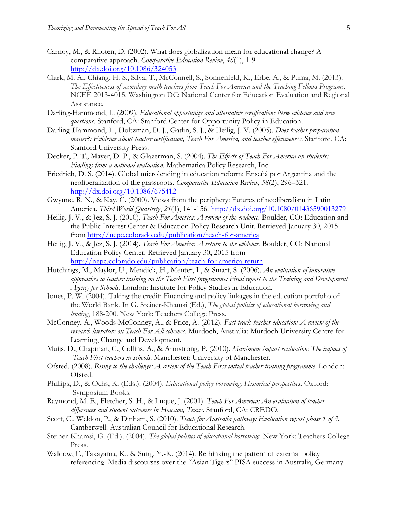- Carnoy, M., & Rhoten, D. (2002). What does globalization mean for educational change? A comparative approach. *Comparative Education Review*, *46*(1), 1-9. http://dx.doi.org/10.1086/324053
- Clark, M. A., Chiang, H. S., Silva, T., McConnell, S., Sonnenfeld, K., Erbe, A., & Puma, M. (2013). *The Effectiveness of secondary math teachers from Teach For America and the Teaching Fellows Programs*. NCEE 2013-4015. Washington DC: National Center for Education Evaluation and Regional Assistance.
- Darling-Hammond, L. (2009). *Educational opportunity and alternative certification: New evidence and new questions*. Stanford, CA: Stanford Center for Opportunity Policy in Education.
- Darling-Hammond, L., Holtzman, D. J., Gatlin, S. J., & Heilig, J. V. (2005). *Does teacher preparation matter?: Evidence about teacher certification, Teach For America, and teacher effectiveness*. Stanford, CA: Stanford University Press.
- Decker, P. T., Mayer, D. P., & Glazerman, S. (2004). *The Effects of Teach For America on students: Findings from a national evaluation*. Mathematica Policy Research, Inc.
- Friedrich, D. S. (2014). Global microlending in education reform: Enseñá por Argentina and the neoliberalization of the grassroots. *Comparative Education Review*, *58*(2), 296–321. http://dx.doi.org/10.1086/675412
- Gwynne, R. N., & Kay, C. (2000). Views from the periphery: Futures of neoliberalism in Latin America. *Third World Quarterly*, *21*(1), 141-156. http://dx.doi.org/10.1080/01436590013279
- Heilig, J. V., & Jez, S. J. (2010). *Teach For America: A review of the evidence*. Boulder, CO: Education and the Public Interest Center & Education Policy Research Unit. Retrieved January 30, 2015 from http://nepc.colorado.edu/publication/teach-for-america
- Heilig, J. V., & Jez, S. J. (2014). *Teach For America: A return to the evidence.* Boulder, CO: National Education Policy Center. Retrieved January 30, 2015 from http://nepc.colorado.edu/publication/teach-for-america-return
- Hutchings, M., Maylor, U., Mendick, H., Menter, I., & Smart, S. (2006). *An evaluation of innovative approaches to teacher training on the Teach First programme: Final report to the Training and Development Agency for Schools*. London: Institute for Policy Studies in Education.
- Jones, P. W. (2004). Taking the credit: Financing and policy linkages in the education portfolio of the World Bank. In G. Steiner-Khamsi (Ed.), *The global politics of educational borrowing and lending*, 188-200. New York: Teachers College Press.
- McConney, A., Woods-McConney, A., & Price, A. (2012). *Fast track teacher education: A review of the research literature on Teach For All schemes.* Murdoch, Australia: Murdoch University Centre for Learning, Change and Development.
- Muijs, D., Chapman, C., Collins, A., & Armstrong, P. (2010). *Maximum impact evaluation: The impact of Teach First teachers in schools*. Manchester: University of Manchester.
- Ofsted. (2008). *Rising to the challenge: A review of the Teach First initial teacher training programme*. London: Ofsted.
- Phillips, D., & Ochs, K. (Eds.). (2004). *Educational policy borrowing: Historical perspectives*. Oxford: Symposium Books.
- Raymond, M. E., Fletcher, S. H., & Luque, J. (2001). *Teach For America: An evaluation of teacher differences and student outcomes in Houston, Texas*. Stanford, CA: CREDO.
- Scott, C., Weldon, P., & Dinham, S. (2010). *Teach for Australia pathway: Evaluation report phase 1 of 3*. Camberwell: Australian Council for Educational Research.
- Steiner-Khamsi, G. (Ed.). (2004). *The global politics of educational borrowing*. New York: Teachers College Press.
- Waldow, F., Takayama, K., & Sung, Y.-K. (2014). Rethinking the pattern of external policy referencing: Media discourses over the "Asian Tigers" PISA success in Australia, Germany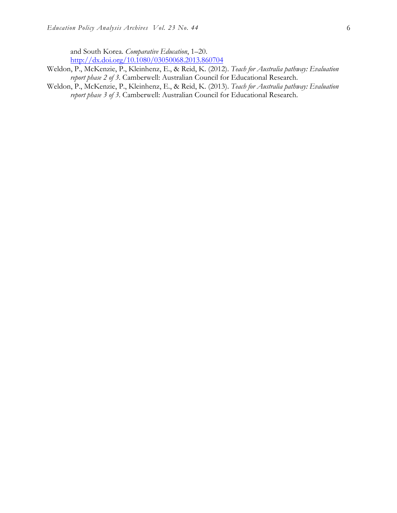and South Korea. *Comparative Education*, 1–20. http://dx.doi.org/10.1080/03050068.2013.860704

- Weldon, P., McKenzie, P., Kleinhenz, E., & Reid, K. (2012). *Teach for Australia pathway: Evaluation report phase 2 of 3*. Camberwell: Australian Council for Educational Research.
- Weldon, P., McKenzie, P., Kleinhenz, E., & Reid, K. (2013). *Teach for Australia pathway: Evaluation report phase 3 of 3*. Camberwell: Australian Council for Educational Research.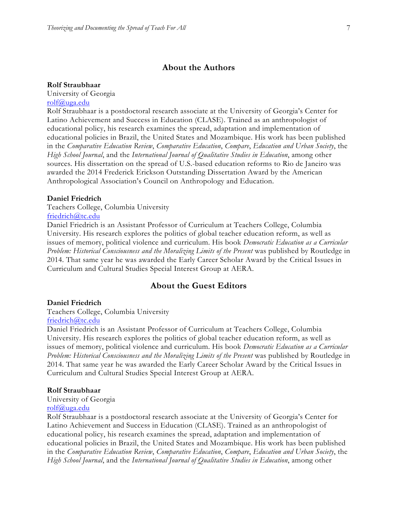## **About the Authors**

#### **Rolf Straubhaar**

University of Georgia rolf@uga.edu

Rolf Straubhaar is a postdoctoral research associate at the University of Georgia's Center for Latino Achievement and Success in Education (CLASE). Trained as an anthropologist of educational policy, his research examines the spread, adaptation and implementation of educational policies in Brazil, the United States and Mozambique. His work has been published in the *Comparative Education Review*, *Comparative Education*, *Compare*, *Education and Urban Society*, the *High School Journal*, and the *International Journal of Qualitative Studies in Education*, among other sources. His dissertation on the spread of U.S.-based education reforms to Rio de Janeiro was awarded the 2014 Frederick Erickson Outstanding Dissertation Award by the American Anthropological Association's Council on Anthropology and Education.

#### **Daniel Friedrich**

Teachers College, Columbia University friedrich@tc.edu

Daniel Friedrich is an Assistant Professor of Curriculum at Teachers College, Columbia University. His research explores the politics of global teacher education reform, as well as issues of memory, political violence and curriculum. His book *Democratic Education as a Curricular Problem: Historical Consciousness and the Moralizing Limits of the Present* was published by Routledge in 2014. That same year he was awarded the Early Career Scholar Award by the Critical Issues in Curriculum and Cultural Studies Special Interest Group at AERA.

## **About the Guest Editors**

## **Daniel Friedrich**

Teachers College, Columbia University friedrich@tc.edu

Daniel Friedrich is an Assistant Professor of Curriculum at Teachers College, Columbia University. His research explores the politics of global teacher education reform, as well as issues of memory, political violence and curriculum. His book *Democratic Education as a Curricular Problem: Historical Consciousness and the Moralizing Limits of the Present* was published by Routledge in 2014. That same year he was awarded the Early Career Scholar Award by the Critical Issues in Curriculum and Cultural Studies Special Interest Group at AERA.

#### **Rolf Straubhaar**

#### University of Georgia

#### rolf@uga.edu

Rolf Straubhaar is a postdoctoral research associate at the University of Georgia's Center for Latino Achievement and Success in Education (CLASE). Trained as an anthropologist of educational policy, his research examines the spread, adaptation and implementation of educational policies in Brazil, the United States and Mozambique. His work has been published in the *Comparative Education Review*, *Comparative Education*, *Compare*, *Education and Urban Society*, the *High School Journal*, and the *International Journal of Qualitative Studies in Education*, among other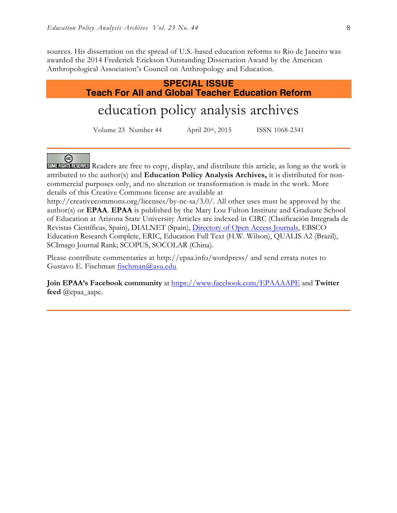sources. His dissertation on the spread of U.S.-based education reforms to Rio de Janeiro was awarded the 2014 Frederick Erickson Outstanding Dissertation Award by the American Anthropological Association's Council on Anthropology and Education.

# **SPECIAL ISSUE Teach For All and Global Teacher Education Reform**

# education policy analysis archives

Volume 23 Number 44 April 20th, 2015 ISSN 1068-2341

#### @

SOME RIGHTS RESERVED Readers are free to copy, display, and distribute this article, as long as the work is attributed to the author(s) and **Education Policy Analysis Archives,** it is distributed for noncommercial purposes only, and no alteration or transformation is made in the work. More details of this Creative Commons license are available at

http://creativecommons.org/licenses/by-nc-sa/3.0/. All other uses must be approved by the author(s) or **EPAA**. **EPAA** is published by the Mary Lou Fulton Institute and Graduate School of Education at Arizona State University Articles are indexed in CIRC (Clasificación Integrada de Revistas Científicas, Spain), DIALNET (Spain), Directory of Open Access Journals, EBSCO Education Research Complete, ERIC, Education Full Text (H.W. Wilson), QUALIS A2 (Brazil), SCImago Journal Rank; SCOPUS, SOCOLAR (China).

Please contribute commentaries at http://epaa.info/wordpress/ and send errata notes to Gustavo E. Fischman fischman@asu.edu

**Join EPAA's Facebook community** at https://www.facebook.com/EPAAAAPE and **Twitter feed** @epaa\_aape.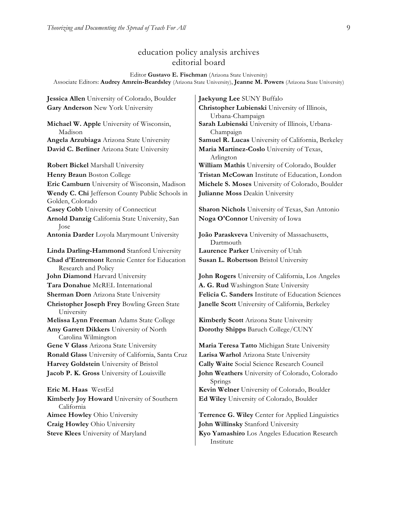# education policy analysis archives editorial board

Editor **Gustavo E. Fischman** (Arizona State University)

Associate Editors: **Audrey Amrein-Beardsley** (Arizona State University), **Jeanne M. Powers** (Arizona State University)

**Jessica Allen** University of Colorado, Boulder **Jaekyung Lee** SUNY Buffalo **Gary Anderson** New York University **Christopher Lubienski** University of Illinois,

**Michael W. Apple** University of Wisconsin, Madison

**Robert Bickel** Marshall University **William Mathis** University of Colorado, Boulder **Wendy C. Chi** Jefferson County Public Schools in Golden, Colorado **Casey Cobb** University of Connecticut **Sharon Nichols** University of Texas, San Antonio **Arnold Danzig** California State University, San Jose **Antonia Darder** Loyola Marymount University **João Paraskveva** University of Massachusetts, **Linda Darling-Hammond** Stanford University **Laurence Parker** University of Utah **Chad d'Entremont** Rennie Center for Education Research and Policy **Tara Donahue** McREL International **A. G. Rud** Washington State University **Christopher Joseph Frey** Bowling Green State University **Melissa Lynn Freeman** Adams State College **Kimberly Scott** Arizona State University **Amy Garrett Dikkers** University of North Carolina Wilmington **Gene V Glass** Arizona State University **Maria Teresa Tatto** Michigan State University **Ronald Glass** University of California, Santa Cruz **Larisa Warhol** Arizona State University **Harvey Goldstein** University of Bristol **Cally Waite** Social Science Research Council **Eric M. Haas** WestEd **Kevin Welner** University of Colorado, Boulder **Kimberly Joy Howard** University of Southern California

**Steve Klees** University of Maryland **Kyo Yamashiro** Los Angeles Education Research

Urbana-Champaign **Sarah Lubienski** University of Illinois, Urbana-Champaign **Angela Arzubiaga** Arizona State University **Samuel R. Lucas** University of California, Berkeley **David C. Berliner** Arizona State University **Maria Martinez-Coslo** University of Texas, Arlington **Henry Braun** Boston College **Tristan McCowan** Institute of Education, London **Eric Camburn** University of Wisconsin, Madison **Michele S. Moses** University of Colorado, Boulder **Julianne Moss** Deakin University

**Noga O'Connor** University of Iowa

Dartmouth **Susan L. Robertson** Bristol University

**John Diamond** Harvard University **John Rogers** University of California, Los Angeles **Sherman Dorn** Arizona State University **Felicia C. Sanders** Institute of Education Sciences **Janelle Scott** University of California, Berkeley

**Dorothy Shipps** Baruch College/CUNY

**Jacob P. K. Gross** University of Louisville **John Weathers** University of Colorado, Colorado Springs **Ed Wiley** University of Colorado, Boulder

**Aimee Howley** Ohio University **Terrence G. Wiley** Center for Applied Linguistics **Craig Howley** Ohio University **John Willinsky** Stanford University

Institute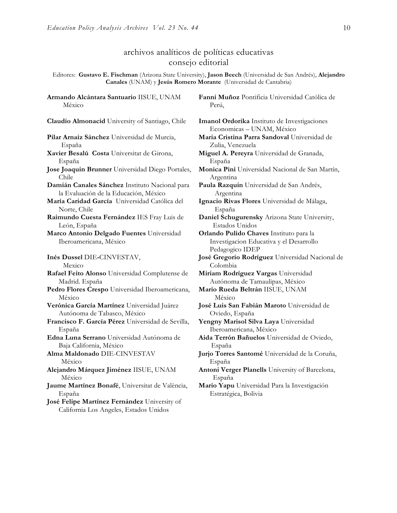# archivos analíticos de políticas educativas consejo editorial

Editores: **Gustavo E. Fischman** (Arizona State University), **Jason Beech** (Universidad de San Andrés), **Alejandro Canales** (UNAM) y **Jesús Romero Morante** (Universidad de Cantabria)

**Armando Alcántara Santuario** IISUE, UNAM México

**Pilar Arnaiz Sánchez** Universidad de Murcia, España

- **Xavier Besalú Costa** Universitat de Girona, España
- **Jose Joaquin Brunner** Universidad Diego Portales, Chile
- **Damián Canales Sánchez** Instituto Nacional para la Evaluación de la Educación, México
- **María Caridad García** Universidad Católica del Norte, Chile
- **Raimundo Cuesta Fernández** IES Fray Luis de León, España
- **Marco Antonio Delgado Fuentes** Universidad Iberoamericana, México
- **Inés Dussel** DIE**-**CINVESTAV, Mexico

**Rafael Feito Alonso** Universidad Complutense de Madrid. España

- **Pedro Flores Crespo** Universidad Iberoamericana, México
- **Verónica García Martínez** Universidad Juárez Autónoma de Tabasco, México
- **Francisco F. García Pérez** Universidad de Sevilla, España
- **Edna Luna Serrano** Universidad Autónoma de Baja California, México
- **Alma Maldonado** DIE-CINVESTAV México

**Alejandro Márquez Jiménez** IISUE, UNAM México

**Jaume Martínez Bonafé**, Universitat de València, España

**José Felipe Martínez Fernández** University of California Los Angeles, Estados Unidos

**Fanni Muñoz** Pontificia Universidad Católica de Perú,

**Claudio Almonacid** University of Santiago, Chile **Imanol Ordorika** Instituto de Investigaciones Economicas – UNAM, México

- **Maria Cristina Parra Sandoval** Universidad de Zulia, Venezuela
- **Miguel A. Pereyra** Universidad de Granada, España
- **Monica Pini** Universidad Nacional de San Martín, Argentina

**Paula Razquin** Universidad de San Andrés, Argentina

**Ignacio Rivas Flores** Universidad de Málaga, España

**Daniel Schugurensky** Arizona State University, Estados Unidos

**Orlando Pulido Chaves** Instituto para la Investigacion Educativa y el Desarrollo Pedagogico IDEP

**José Gregorio Rodríguez** Universidad Nacional de Colombia

**Miriam Rodríguez Vargas** Universidad Autónoma de Tamaulipas, México

- **Mario Rueda Beltrán** IISUE, UNAM México
- **José Luis San Fabián Maroto** Universidad de Oviedo, España
- **Yengny Marisol Silva Laya** Universidad Iberoamericana, México
- **Aida Terrón Bañuelos** Universidad de Oviedo, España

**Jurjo Torres Santomé** Universidad de la Coruña, España

**Antoni Verger Planells** University of Barcelona, España

**Mario Yapu** Universidad Para la Investigación Estratégica, Bolivia